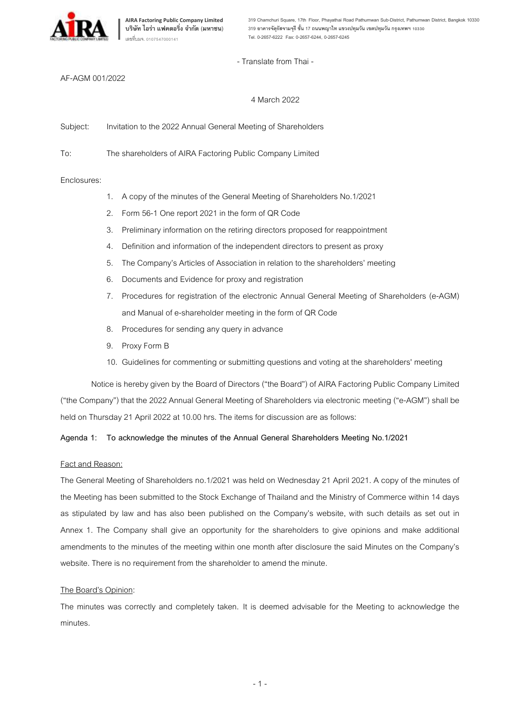

- Translate from Thai -

#### AF-AGM 001/2022

## 4 March 2022

Subject: Invitation to the 2022 Annual General Meeting of Shareholders

To: The shareholders of AIRA Factoring Public Company Limited

#### Enclosures:

- 1. A copy of the minutes of the General Meeting of Shareholders No.1/2021
- 2. Form 56-1 One report 2021 in the form of QR Code
- 3. Preliminary information on the retiring directors proposed for reappointment
- 4. Definition and information of the independent directors to present as proxy
- 5. The Company's Articles of Association in relation to the shareholders' meeting
- 6. Documents and Evidence for proxy and registration
- 7. Procedures for registration of the electronic Annual General Meeting of Shareholders (e-AGM) and Manual of e-shareholder meeting in the form of QR Code
- 8. Procedures for sending any query in advance
- 9. Proxy Form B
- 10. Guidelines for commenting or submitting questions and voting at the shareholders' meeting

Notice is hereby given by the Board of Directors ("the Board") of AIRA Factoring Public Company Limited ("the Company") that the 2022 Annual General Meeting of Shareholders via electronic meeting ("e-AGM") shall be held on Thursday 21 April 2022 at 10.00 hrs. The items for discussion are as follows:

#### **Agenda 1: To acknowledge the minutes of the Annual General Shareholders Meeting No.1/2021**

#### Fact and Reason:

The General Meeting of Shareholders no.1/2021 was held on Wednesday 21 April 2021. A copy of the minutes of the Meeting has been submitted to the Stock Exchange of Thailand and the Ministry of Commerce within 14 days as stipulated by law and has also been published on the Company's website, with such details as set out in Annex 1. The Company shall give an opportunity for the shareholders to give opinions and make additional amendments to the minutes of the meeting within one month after disclosure the said Minutes on the Company's website. There is no requirement from the shareholder to amend the minute.

#### The Board's Opinion:

The minutes was correctly and completely taken. It is deemed advisable for the Meeting to acknowledge the minutes.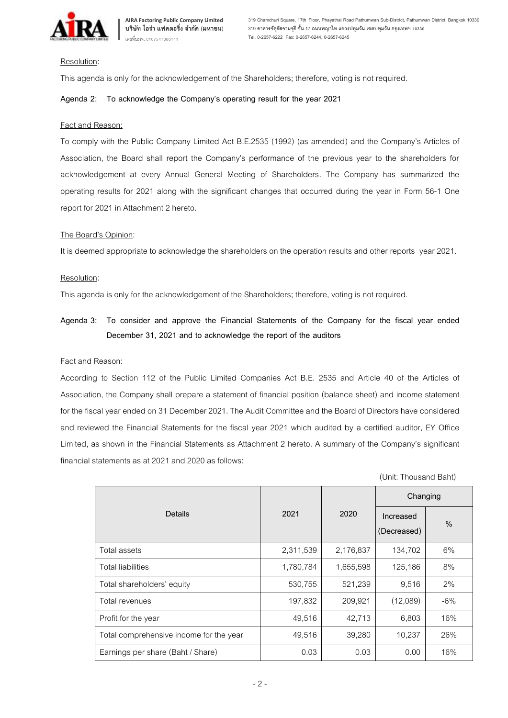

#### Resolution:

This agenda is only for the acknowledgement of the Shareholders; therefore, voting is not required.

#### **Agenda 2: To acknowledge the Company's operating result for the year 2021**

#### Fact and Reason:

To comply with the Public Company Limited Act B.E.2535 (1992) (as amended) and the Company's Articles of Association, the Board shall report the Company's performance of the previous year to the shareholders for acknowledgement at every Annual General Meeting of Shareholders. The Company has summarized the operating results for 2021 along with the significant changes that occurred during the year in Form 56-1 One report for 2021 in Attachment 2 hereto.

#### The Board's Opinion:

It is deemed appropriate to acknowledge the shareholders on the operation results and other reports year 2021.

#### Resolution:

This agenda is only for the acknowledgement of the Shareholders; therefore, voting is not required.

# **Agenda 3: To consider and approve the Financial Statements of the Company for the fiscal year ended December 31, 2021 and to acknowledge the report of the auditors**

#### Fact and Reason:

According to Section 112 of the Public Limited Companies Act B.E. 2535 and Article 40 of the Articles of Association, the Company shall prepare a statement of financial position (balance sheet) and income statement for the fiscal year ended on 31 December 2021. The Audit Committee and the Board of Directors have considered and reviewed the Financial Statements for the fiscal year 2021 which audited by a certified auditor, EY Office Limited, as shown in the Financial Statements as Attachment 2 hereto. A summary of the Company's significant financial statements as at 2021 and 2020 as follows:

|                                         |           |           | Changing                 |       |
|-----------------------------------------|-----------|-----------|--------------------------|-------|
| <b>Details</b>                          | 2021      | 2020      | Increased<br>(Decreased) | $\%$  |
| Total assets                            | 2,311,539 | 2,176,837 | 134,702                  | 6%    |
| <b>Total liabilities</b>                | 1,780,784 | 1,655,598 | 125,186                  | 8%    |
| Total shareholders' equity              | 530,755   | 521,239   | 9,516                    | 2%    |
| Total revenues                          | 197,832   | 209,921   | (12,089)                 | $-6%$ |
| Profit for the year                     | 49,516    | 42,713    | 6,803                    | 16%   |
| Total comprehensive income for the year | 49,516    | 39,280    | 10,237                   | 26%   |
| Earnings per share (Baht / Share)       | 0.03      | 0.03      | 0.00                     | 16%   |

(Unit: Thousand Baht)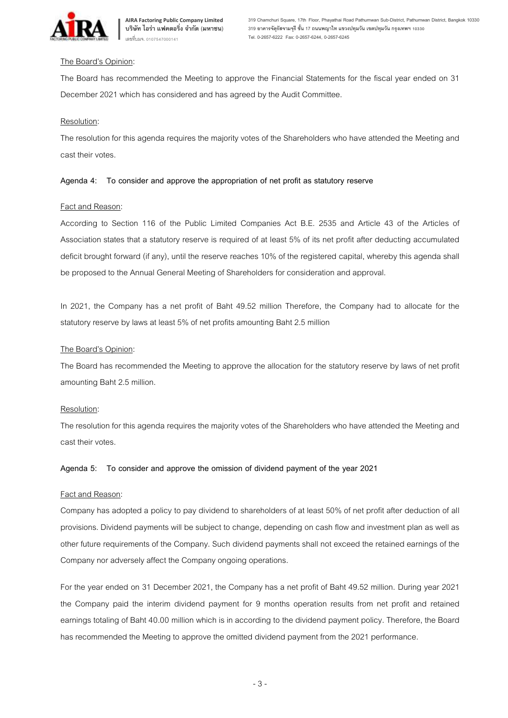

## The Board's Opinion:

The Board has recommended the Meeting to approve the Financial Statements for the fiscal year ended on 31 December 2021 which has considered and has agreed by the Audit Committee.

## Resolution:

The resolution for this agenda requires the majority votes of the Shareholders who have attended the Meeting and cast their votes.

## **Agenda 4: To consider and approve the appropriation of net profit as statutory reserve**

## **Fact and Reason:**

According to Section 116 of the Public Limited Companies Act B.E. 2535 and Article 43 of the Articles of Association states that a statutory reserve is required of at least 5% of its net profit after deducting accumulated deficit brought forward (if any), until the reserve reaches 10% of the registered capital, whereby this agenda shall be proposed to the Annual General Meeting of Shareholders for consideration and approval.

In 2021, the Company has a net profit of Baht 49.52 million Therefore, the Company had to allocate for the statutory reserve by laws at least 5% of net profits amounting Baht 2.5 million

## The Board's Opinion:

The Board has recommended the Meeting to approve the allocation for the statutory reserve by laws of net profit amounting Baht 2.5 million.

#### Resolution:

The resolution for this agenda requires the majority votes of the Shareholders who have attended the Meeting and cast their votes.

#### **Agenda 5: To consider and approve the omission of dividend payment of the year 2021**

#### Fact and Reason:

Company has adopted a policy to pay dividend to shareholders of at least 50% of net profit after deduction of all provisions. Dividend payments will be subject to change, depending on cash flow and investment plan as well as other future requirements of the Company. Such dividend payments shall not exceed the retained earnings of the Company nor adversely affect the Company ongoing operations.

For the year ended on 31 December 2021, the Company has a net profit of Baht 49.52 million. During year 2021 the Company paid the interim dividend payment for 9 months operation results from net profit and retained earnings totaling of Baht 40.00 million which is in according to the dividend payment policy. Therefore, the Board has recommended the Meeting to approve the omitted dividend payment from the 2021 performance.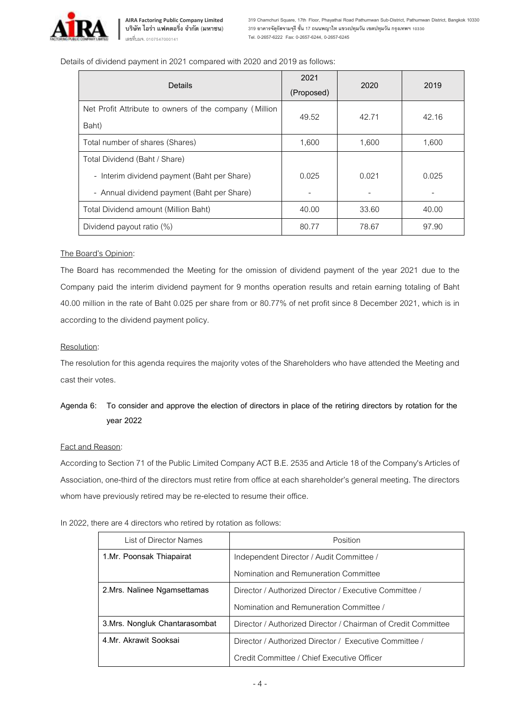

**AIRA Factoring Public Company Limited บริษัท ไอร่า แฟคตอริ่ง จ ากัด (มหาชน)** เลขที่บมจ. 0107547000141

**319 Chamchuri Square, 17th Floor, Phayathai Road Pathumwan Sub-District, Pathumwan District, Bangkok 10330 319 อาคารจัตุรัสจามจุรีชั้น 17 ถนนพญาไท แขวงปทุมวัน เขตปทุมวัน กรุงเทพฯ 10330 Tel. 0-2657-6222 Fax: 0-2657-6244, 0-2657-6245**

Details of dividend payment in 2021 compared with 2020 and 2019 as follows:

| Details                                                         | 2021<br>(Proposed) | 2020                     | 2019  |
|-----------------------------------------------------------------|--------------------|--------------------------|-------|
| Net Profit Attribute to owners of the company (Million<br>Baht) | 49.52              | 42.71                    | 42.16 |
| Total number of shares (Shares)                                 | 1.600              | 1.600                    | 1,600 |
| Total Dividend (Baht / Share)                                   |                    |                          |       |
| - Interim dividend payment (Baht per Share)                     | 0.025              | 0.021                    | 0.025 |
| - Annual dividend payment (Baht per Share)                      |                    | $\overline{\phantom{a}}$ |       |
| Total Dividend amount (Million Baht)                            | 40.00              | 33.60                    | 40.00 |
| Dividend payout ratio (%)                                       | 80.77              | 78.67                    | 97.90 |

#### The Board's Opinion:

The Board has recommended the Meeting for the omission of dividend payment of the year 2021 due to the Company paid the interim dividend payment for 9 months operation results and retain earning totaling of Baht 40.00 million in the rate of Baht 0.025 per share from or 80.77% of net profit since 8 December 2021, which is in according to the dividend payment policy.

#### Resolution:

The resolution for this agenda requires the majority votes of the Shareholders who have attended the Meeting and cast their votes.

## **Agenda 6: To consider and approve the election of directors in place of the retiring directors by rotation for the year 2022**

#### Fact and Reason:

According to Section 71 of the Public Limited Company ACT B.E. 2535 and Article 18 of the Company's Articles of Association, one-third of the directors must retire from office at each shareholder's general meeting. The directors whom have previously retired may be re-elected to resume their office.

| List of Director Names         | Position                                                      |  |  |
|--------------------------------|---------------------------------------------------------------|--|--|
| 1.Mr. Poonsak Thiapairat       | Independent Director / Audit Committee /                      |  |  |
|                                | Nomination and Remuneration Committee                         |  |  |
| 2. Mrs. Nalinee Ngamsettamas   | Director / Authorized Director / Executive Committee /        |  |  |
|                                | Nomination and Remuneration Committee /                       |  |  |
| 3. Mrs. Nongluk Chantarasombat | Director / Authorized Director / Chairman of Credit Committee |  |  |
| 4.Mr. Akrawit Sooksai          | Director / Authorized Director / Executive Committee /        |  |  |
|                                | Credit Committee / Chief Executive Officer                    |  |  |

In 2022, there are 4 directors who retired by rotation as follows: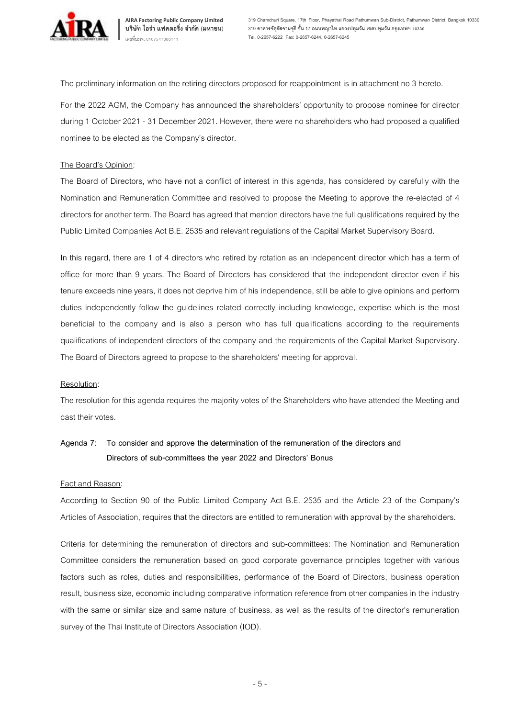

**AIRA Factoring Public Company Limited บริษัท ไอร่า แฟคตอริ่ง จ ากัด (มหาชน)** เลขที่บมจ. 0107547000141

**319 Chamchuri Square, 17th Floor, Phayathai Road Pathumwan Sub-District, Pathumwan District, Bangkok 10330 319 อาคารจัตุรัสจามจุรีชั้น 17 ถนนพญาไท แขวงปทุมวัน เขตปทุมวัน กรุงเทพฯ 10330 Tel. 0-2657-6222 Fax: 0-2657-6244, 0-2657-6245**

The preliminary information on the retiring directors proposed for reappointment is in attachment no 3 hereto.

For the 2022 AGM, the Company has announced the shareholders' opportunity to propose nominee for director during 1 October 2021- 31 December 2021. However, there were no shareholders who had proposed a qualified nominee to be elected as the Company's director.

#### The Board's Opinion:

The Board of Directors, who have not a conflict of interest in this agenda, has considered by carefully with the Nomination and Remuneration Committee and resolved to propose the Meeting to approve the re-elected of 4 directors for another term. The Board has agreed that mention directors have the full qualifications required by the Public Limited Companies Act B.E. 2535 and relevant regulations of the Capital Market Supervisory Board.

In this regard, there are 1 of 4 directors who retired by rotation as an independent director which has a term of office for more than 9 years. The Board of Directors has considered that the independent director even if his tenure exceeds nine years, it does not deprive him of his independence, still be able to give opinions and perform duties independently follow the guidelines related correctly including knowledge, expertise which is the most beneficial to the company and is also a person who has full qualifications according to the requirements qualifications of independent directors of the company and the requirements of the Capital Market Supervisory. The Board of Directors agreed to propose to the shareholders' meeting for approval.

#### Resolution:

The resolution for this agenda requires the majority votes of the Shareholders who have attended the Meeting and cast their votes.

# **Agenda 7: To consider and approve the determination of the remuneration of the directors and Directors of sub-committees the year 2022 and Directors' Bonus**

#### Fact and Reason:

According to Section 90 of the Public Limited Company Act B.E. 2535 and the Article 23 of the Company's Articles of Association, requires that the directors are entitled to remuneration with approval by the shareholders.

Criteria for determining the remuneration of directors and sub-committees: The Nomination and Remuneration Committee considers the remuneration based on good corporate governance principles together with various factors such as roles, duties and responsibilities, performance of the Board of Directors, business operation result, business size, economic including comparative information reference from other companies in the industry with the same or similar size and same nature of business. as well as the results of the director's remuneration survey of the Thai Institute of Directors Association (IOD).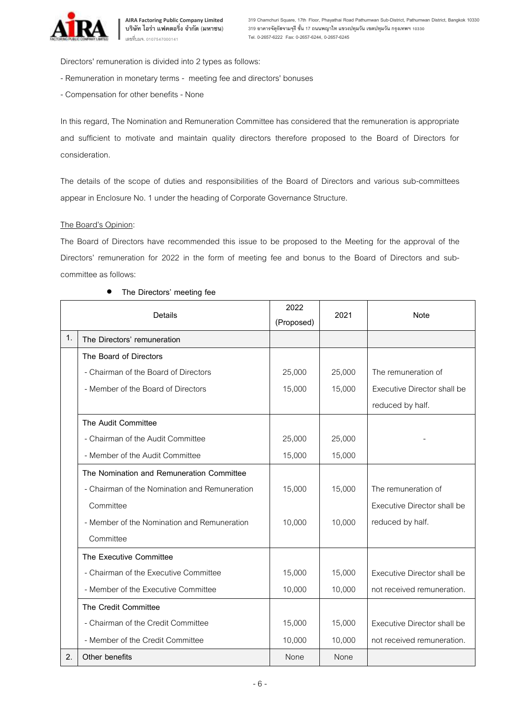

Directors' remuneration is divided into 2 types as follows:

- Remuneration in monetary terms meeting feeand directors' bonuses
- Compensation for other benefits None

In this regard, The Nomination and Remuneration Committee has considered that the remuneration is appropriate and sufficient to motivate and maintain quality directors therefore proposed to the Board of Directors for consideration.

The details of the scope of duties and responsibilities of the Board of Directors and various sub-committees appear in Enclosure No. 1 under the heading of Corporate Governance Structure.

## The Board's Opinion:

The Board of Directors have recommended this issue to be proposed to the Meeting for the approval of the Directors' remuneration for 2022 in the form of meeting fee and bonus to the Board of Directors and subcommittee as follows:

| <b>Details</b> |                                               | 2022       | 2021   | <b>Note</b>                 |
|----------------|-----------------------------------------------|------------|--------|-----------------------------|
|                |                                               | (Proposed) |        |                             |
| 1.             | The Directors' remuneration                   |            |        |                             |
|                | The Board of Directors                        |            |        |                             |
|                | - Chairman of the Board of Directors          | 25,000     | 25,000 | The remuneration of         |
|                | - Member of the Board of Directors            | 15,000     | 15,000 | Executive Director shall be |
|                |                                               |            |        | reduced by half.            |
|                | The Audit Committee                           |            |        |                             |
|                | - Chairman of the Audit Committee             | 25,000     | 25,000 |                             |
|                | - Member of the Audit Committee               | 15,000     | 15,000 |                             |
|                | The Nomination and Remuneration Committee     |            |        |                             |
|                | - Chairman of the Nomination and Remuneration | 15,000     | 15,000 | The remuneration of         |
|                | Committee                                     |            |        | Executive Director shall be |
|                | - Member of the Nomination and Remuneration   | 10,000     | 10,000 | reduced by half.            |
|                | Committee                                     |            |        |                             |
|                | The Executive Committee                       |            |        |                             |
|                | - Chairman of the Executive Committee         | 15,000     | 15,000 | Executive Director shall be |
|                | - Member of the Executive Committee           | 10,000     | 10,000 | not received remuneration.  |
|                | The Credit Committee                          |            |        |                             |
|                | - Chairman of the Credit Committee            | 15,000     | 15,000 | Executive Director shall be |
|                | - Member of the Credit Committee              | 10,000     | 10,000 | not received remuneration.  |
| 2.             | Other benefits                                | None       | None   |                             |

#### • **The Directors' meeting fee**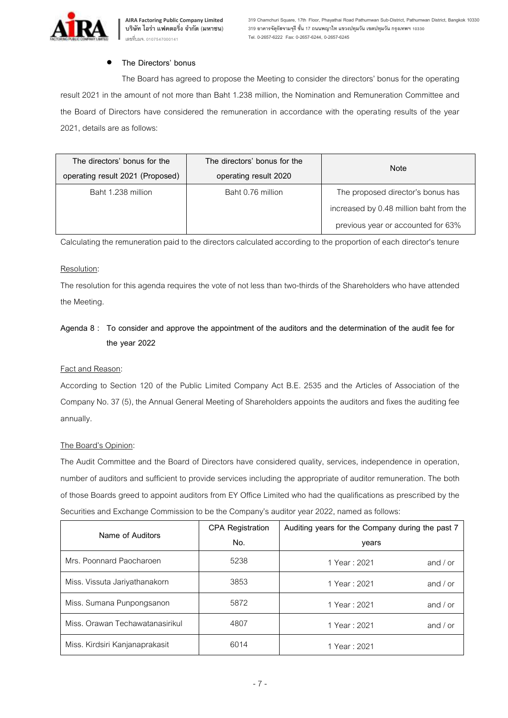

## • **The Directors' bonus**

The Board has agreed to propose the Meeting to consider the directors' bonus for the operating result 2021 in the amount of not more than Baht 1.238 million, the Nomination and Remuneration Committee and the Board of Directors have considered the remuneration in accordance with the operating results of the year 2021, details are as follows:

| The directors' bonus for the     | The directors' bonus for the | <b>Note</b>                             |  |
|----------------------------------|------------------------------|-----------------------------------------|--|
| operating result 2021 (Proposed) | operating result 2020        |                                         |  |
| Baht 1.238 million               | Baht 0.76 million            | The proposed director's bonus has       |  |
|                                  |                              | increased by 0.48 million baht from the |  |
|                                  |                              | previous year or accounted for 63%      |  |

Calculating the remuneration paid to the directors calculated according to the proportion of each director's tenure

#### Resolution:

The resolution for this agenda requires the vote of not less than two-thirds of the Shareholders who have attended the Meeting.

# **Agenda 8 : To consider and approve the appointment of the auditors and the determination of the audit fee for the year 2022**

#### Fact and Reason:

According to Section 120 of the Public Limited Company Act B.E. 2535 and the Articles of Association of the Company No. 37 (5), the Annual General Meeting of Shareholders appoints the auditors and fixes the auditing fee annually.

#### The Board's Opinion:

The Audit Committee and the Board of Directors have considered quality, services, independence in operation, number of auditors and sufficient to provide services including the appropriate of auditor remuneration. The both of those Boards greed to appoint auditors from EY Office Limited who had the qualifications as prescribed by the Securities and Exchange Commission to be the Company's auditor year 2022, named as follows:

| Name of Auditors                | <b>CPA Registration</b> | Auditing years for the Company during the past 7 |  |
|---------------------------------|-------------------------|--------------------------------------------------|--|
|                                 | No.                     | years                                            |  |
| Mrs. Poonnard Paocharoen        | 5238                    | and $/$ or<br>1 Year: 2021                       |  |
| Miss. Vissuta Jariyathanakorn   | 3853                    | and $/$ or<br>1 Year: 2021                       |  |
| Miss. Sumana Punpongsanon       | 5872                    | and $/$ or<br>1 Year: 2021                       |  |
| Miss, Orawan Techawatanasirikul | 4807                    | 1 Year: 2021<br>and $/$ or                       |  |
| Miss. Kirdsiri Kanjanaprakasit  | 6014                    | 1 Year: 2021                                     |  |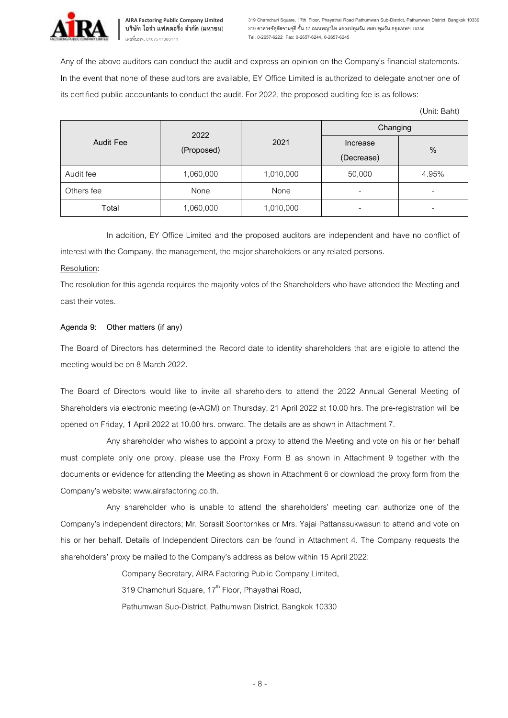

**319 Chamchuri Square, 17th Floor, Phayathai Road Pathumwan Sub-District, Pathumwan District, Bangkok 10330 319 อาคารจัตุรัสจามจุรีชั้น 17 ถนนพญาไท แขวงปทุมวัน เขตปทุมวัน กรุงเทพฯ 10330 Tel. 0-2657-6222 Fax: 0-2657-6244, 0-2657-6245**

Any of the above auditors can conduct the audit and express an opinion on the Company's financial statements. In the event that none of these auditors are available, EY Office Limited is authorized to delegate another one of its certified public accountants to conduct the audit. For 2022, the proposed auditing fee is as follows:

(Unit: Baht)

| <b>Audit Fee</b> | 2022<br>(Proposed) |           | Changing                 |                          |  |
|------------------|--------------------|-----------|--------------------------|--------------------------|--|
|                  |                    | 2021      | Increase<br>(Decrease)   | $\frac{0}{0}$            |  |
| Audit fee        | 1,060,000          | 1,010,000 | 50,000                   | 4.95%                    |  |
| Others fee       | None               | None      | -                        | $\overline{\phantom{0}}$ |  |
| Total            | 1,060,000          | 1,010,000 | $\overline{\phantom{0}}$ | $\overline{\phantom{a}}$ |  |

In addition, EY Office Limited and the proposed auditors are independent and have no conflict of interest with the Company, the management, the major shareholders or any related persons.

#### Resolution:

The resolution for this agenda requires the majority votes of the Shareholders who have attended the Meeting and cast their votes.

## **Agenda 9: Other matters (if any)**

The Board of Directors has determined the Record date to identity shareholders that are eligible to attend the meeting would be on 8 March 2022.

The Board of Directors would like to invite all shareholders to attend the 2022 Annual General Meeting of Shareholders via electronic meeting (e-AGM) on Thursday, 21 April 2022 at 10.00 hrs. The pre-registration will be opened on Friday, 1 April 2022 at 10.00 hrs. onward. The details are as shown in Attachment 7.

Any shareholder who wishes to appoint a proxy to attend the Meeting and vote on his or her behalf must complete only one proxy, please use the Proxy Form B as shown in Attachment 9 together with the documents or evidence for attending the Meeting as shown in Attachment 6 or download the proxy form from the Company's website[: www.airafactoring.co.th.](http://www.airafactoring.co.th/)

Any shareholder who is unable to attend the shareholders' meeting can authorize one of the Company's independent directors; Mr. Sorasit Soontornkes or Mrs. Yajai Pattanasukwasun to attend and vote on his or her behalf. Details of Independent Directors can be found in Attachment 4. The Company requests the shareholders' proxy be mailed to the Company's address as below within15 April 2022:

Company Secretary, AIRA Factoring Public CompanyLimited,

319 Chamchuri Square, 17<sup>th</sup> Floor, Phayathai Road,

Pathumwan Sub-District, Pathumwan District, Bangkok 10330